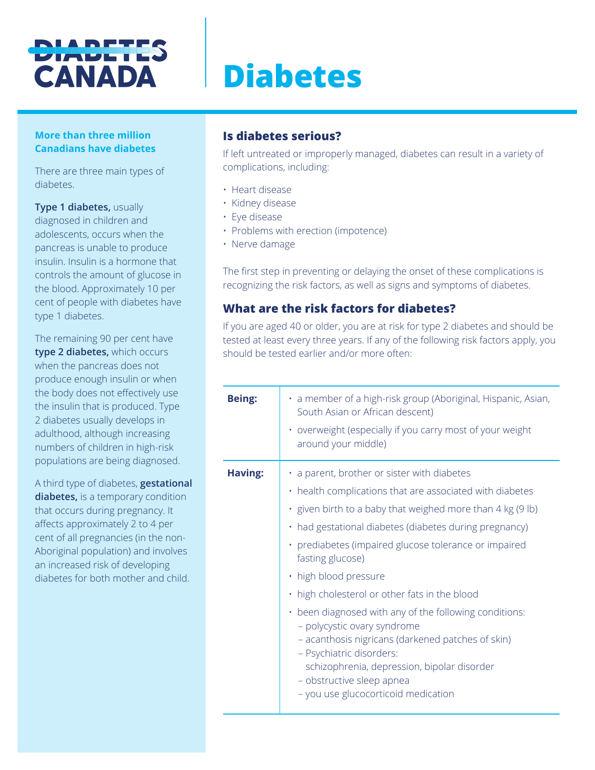## **DIADETES CANADA**

# **Diabetes**

#### **More than three million Canadians have diabetes**

There are three main types of diabetes.

**Type 1 diabetes,** usually diagnosed in children and adolescents, occurs when the pancreas is unable to produce insulin. Insulin is a hormone that controls the amount of glucose in the blood. Approximately 10 per cent of people with diabetes have type 1 diabetes.

The remaining 90 per cent have **type 2 diabetes,** which occurs when the pancreas does not produce enough insulin or when the body does not effectively use the insulin that is produced. Type 2 diabetes usually develops in adulthood, although increasing numbers of children in high-risk populations are being diagnosed.

A third type of diabetes, **gestational diabetes,** is a temporary condition that occurs during pregnancy. It affects approximately 2 to 4 per cent of all pregnancies (in the non-Aboriginal population) and involves an increased risk of developing diabetes for both mother and child.

## **Is diabetes serious?**

If left untreated or improperly managed, diabetes can result in a variety of complications, including:

- Heart disease
- Kidney disease
- Eye disease
- Problems with erection (impotence)
- Nerve damage

The first step in preventing or delaying the onset of these complications is recognizing the risk factors, as well as signs and symptoms of diabetes.

## **What are the risk factors for diabetes?**

If you are aged 40 or older, you are at risk for type 2 diabetes and should be tested at least every three years. If any of the following risk factors apply, you should be tested earlier and/or more often:

| <b>Being:</b> | • a member of a high-risk group (Aboriginal, Hispanic, Asian,<br>South Asian or African descent)<br>• overweight (especially if you carry most of your weight<br>around your middle)                                                                                                                                                                                                                                                                                                                                                                                                                                                                                                            |
|---------------|-------------------------------------------------------------------------------------------------------------------------------------------------------------------------------------------------------------------------------------------------------------------------------------------------------------------------------------------------------------------------------------------------------------------------------------------------------------------------------------------------------------------------------------------------------------------------------------------------------------------------------------------------------------------------------------------------|
| Having:       | $\cdot$ a parent, brother or sister with diabetes<br>• health complications that are associated with diabetes<br>$\cdot$ given birth to a baby that weighed more than 4 kg (9 lb)<br>• had gestational diabetes (diabetes during pregnancy)<br>· prediabetes (impaired glucose tolerance or impaired<br>fasting glucose)<br>· high blood pressure<br>. high cholesterol or other fats in the blood<br>• been diagnosed with any of the following conditions:<br>- polycystic ovary syndrome<br>- acanthosis nigricans (darkened patches of skin)<br>- Psychiatric disorders:<br>schizophrenia, depression, bipolar disorder<br>- obstructive sleep apnea<br>- you use glucocorticoid medication |